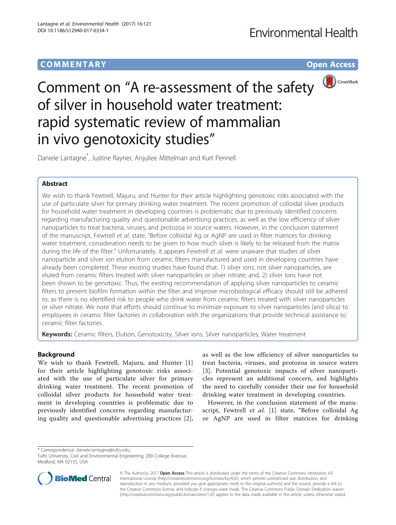# COMM EN TARY Open Access



Comment on "A re-assessment of the safety of silver in household water treatment: rapid systematic review of mammalian in vivo genotoxicity studies"

Daniele Lantagne\* , Justine Rayner, Anjuliee Mittelman and Kurt Pennell

# Abstract

We wish to thank Fewtrell, Majuru, and Hunter for their article highlighting genotoxic risks associated with the use of particulate silver for primary drinking water treatment. The recent promotion of colloidal silver products for household water treatment in developing countries is problematic due to previously identified concerns regarding manufacturing quality and questionable advertising practices, as well as the low efficiency of silver nanoparticles to treat bacteria, viruses, and protozoa in source waters. However, in the conclusion statement of the manuscript, Fewtrell et al. state, "Before colloidal Ag or AgNP are used in filter matrices for drinking water treatment, consideration needs to be given to how much silver is likely to be released from the matrix during the life of the filter." Unfortunately, it appears Fewtrell et al. were unaware that studies of silver nanoparticle and silver ion elution from ceramic filters manufactured and used in developing countries have already been completed. These existing studies have found that: 1) silver ions, not silver nanoparticles, are eluted from ceramic filters treated with silver nanoparticles or silver nitrate; and, 2) silver ions have not been shown to be genotoxic. Thus, the existing recommendation of applying silver nanoparticles to ceramic filters to prevent biofilm formation within the filter and improve microbiological efficacy should still be adhered to, as there is no identified risk to people who drink water from ceramic filters treated with silver nanoparticles or silver nitrate. We note that efforts should continue to minimize exposure to silver nanoparticles (and silica) to employees in ceramic filter factories in collaboration with the organizations that provide technical assistance to ceramic filter factories.

Keywords: Ceramic filters, Elution, Genotoxicity, Silver ions, Silver nanoparticles, Water treatment

# Background

We wish to thank Fewtrell, Majuru, and Hunter [\[1](#page-2-0)] for their article highlighting genotoxic risks associated with the use of particulate silver for primary drinking water treatment. The recent promotion of colloidal silver products for household water treatment in developing countries is problematic due to previously identified concerns regarding manufacturing quality and questionable advertising practices [[2](#page-2-0)],

as well as the low efficiency of silver nanoparticles to treat bacteria, viruses, and protozoa in source waters [[3](#page-3-0)]. Potential genotoxic impacts of silver nanoparticles represent an additional concern, and highlights the need to carefully consider their use for household drinking water treatment in developing countries.

However, in the conclusion statement of the manu-script, Fewtrell et al. [[1](#page-2-0)] state, "Before colloidal Ag or AgNP are used in filter matrices for drinking

\* Correspondence: [daniele.lantagne@tufts.edu](mailto:daniele.lantagne@tufts.edu);

Tufts University, Civil and Environmental Engineering, 200 College Avenue, Medford, MA 02155, USA



© The Author(s). 2017 **Open Access** This article is distributed under the terms of the Creative Commons Attribution 4.0 International License [\(http://creativecommons.org/licenses/by/4.0/](http://creativecommons.org/licenses/by/4.0/)), which permits unrestricted use, distribution, and reproduction in any medium, provided you give appropriate credit to the original author(s) and the source, provide a link to the Creative Commons license, and indicate if changes were made. The Creative Commons Public Domain Dedication waiver [\(http://creativecommons.org/publicdomain/zero/1.0/](http://creativecommons.org/publicdomain/zero/1.0/)) applies to the data made available in this article, unless otherwise stated.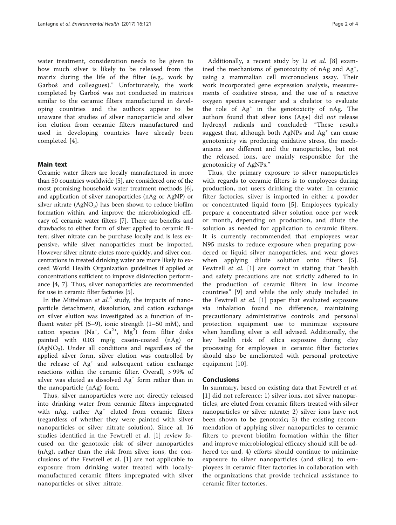water treatment, consideration needs to be given to how much silver is likely to be released from the matrix during the life of the filter (e.g., work by Garboś and colleagues)." Unfortunately, the work completed by Garboś was not conducted in matrices similar to the ceramic filters manufactured in developing countries and the authors appear to be unaware that studies of silver nanoparticle and silver ion elution from ceramic filters manufactured and used in developing countries have already been completed [[4\]](#page-3-0).

## Main text

Ceramic water filters are locally manufactured in more than 50 countries worldwide [[5](#page-3-0)], are considered one of the most promising household water treatment methods [[6](#page-3-0)], and application of silver nanoparticles (nAg or AgNP) or silver nitrate  $(AgNO<sub>3</sub>)$  has been shown to reduce biofilm formation within, and improve the microbiological efficacy of, ceramic water filters [[7](#page-3-0)]. There are benefits and drawbacks to either form of silver applied to ceramic filters; silver nitrate can be purchase locally and is less expensive, while silver nanoparticles must be imported. However silver nitrate elutes more quickly, and silver concentrations in treated drinking water are more likely to exceed World Health Organization guidelines if applied at concentrations sufficient to improve disinfection performance [\[4, 7\]](#page-3-0). Thus, silver nanoparticles are recommended for use in ceramic filter factories [[5](#page-3-0)].

In the Mittelman *et al.*<sup>3</sup> study, the impacts of nanoparticle detachment, dissolution, and cation exchange on silver elution was investigated as a function of influent water pH  $(5-9)$ , ionic strength  $(1-50 \text{ mM})$ , and cation species (Na<sup>+</sup>, Ca<sup>2+</sup>, Mg<sup>2</sup>) from filter disks painted with 0.03 mg/g casein-coated (nAg) or  $(AgNO<sub>3</sub>)$ . Under all conditions and regardless of the applied silver form, silver elution was controlled by the release of  $Ag<sup>+</sup>$  and subsequent cation exchange reactions within the ceramic filter. Overall, > 99% of silver was eluted as dissolved Ag<sup>+</sup> form rather than in the nanoparticle (nAg) form.

Thus, silver nanoparticles were not directly released into drinking water from ceramic filters impregnated with nAg, rather  $Ag^+$  eluted from ceramic filters (regardless of whether they were painted with silver nanoparticles or silver nitrate solution). Since all 16 studies identified in the Fewtrell et al. [[1\]](#page-2-0) review focused on the genotoxic risk of silver nanoparticles (nAg), rather than the risk from silver ions, the conclusions of the Fewtrell et al. [\[1](#page-2-0)] are not applicable to exposure from drinking water treated with locallymanufactured ceramic filters impregnated with silver nanoparticles or silver nitrate.

Additionally, a recent study by Li et al. [\[8](#page-3-0)] examined the mechanisms of genotoxicity of nAg and Ag<sup>+</sup>, using a mammalian cell micronucleus assay. Their work incorporated gene expression analysis, measurements of oxidative stress, and the use of a reactive oxygen species scavenger and a chelator to evaluate the role of  $Ag<sup>+</sup>$  in the genotoxicity of nAg. The authors found that silver ions  $(Ag+)$  did *not* release hydroxyl radicals and concluded: "These results suggest that, although both AgNPs and Ag<sup>+</sup> can cause genotoxicity via producing oxidative stress, the mechanisms are different and the nanoparticles, but not the released ions, are mainly responsible for the genotoxicity of AgNPs."

Thus, the primary exposure to silver nanoparticles with regards to ceramic filters is to employees during production, not users drinking the water. In ceramic filter factories, silver is imported in either a powder or concentrated liquid form [[5\]](#page-3-0). Employees typically prepare a concentrated silver solution once per week or month, depending on production, and dilute the solution as needed for application to ceramic filters. It is currently recommended that employees wear N95 masks to reduce exposure when preparing powdered or liquid silver nanoparticles, and wear gloves when applying dilute solution onto filters [[5](#page-3-0)]. Fewtrell et al. [[1\]](#page-2-0) are correct in stating that "health and safety precautions are not strictly adhered to in the production of ceramic filters in low income countries" [\[9](#page-3-0)] and while the only study included in the Fewtrell et al. [[1\]](#page-2-0) paper that evaluated exposure via inhalation found no difference, maintaining precautionary administrative controls and personal protection equipment use to minimize exposure when handling silver is still advised. Additionally, the key health risk of silica exposure during clay processing for employees in ceramic filter factories should also be ameliorated with personal protective equipment [\[10](#page-3-0)].

## Conclusions

In summary, based on existing data that Fewtrell et al. [[1](#page-2-0)] did not reference: 1) silver ions, not silver nanoparticles, are eluted from ceramic filters treated with silver nanoparticles or silver nitrate; 2) silver ions have not been shown to be genotoxic; 3) the existing recommendation of applying silver nanoparticles to ceramic filters to prevent biofilm formation within the filter and improve microbiological efficacy should still be adhered to; and, 4) efforts should continue to minimize exposure to silver nanoparticles (and silica) to employees in ceramic filter factories in collaboration with the organizations that provide technical assistance to ceramic filter factories.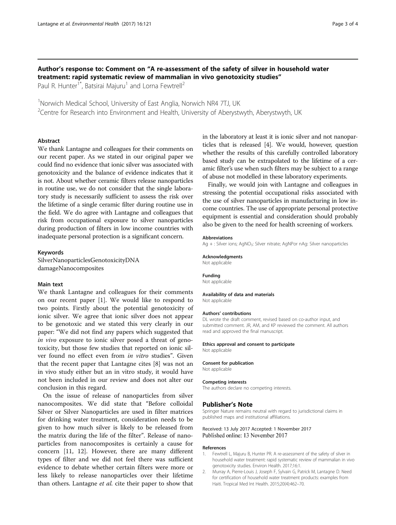## <span id="page-2-0"></span>Author's response to: Comment on "A re-assessment of the safety of silver in household water treatment: rapid systematic review of mammalian in vivo genotoxicity studies"

Paul R. Hunter<sup>1\*</sup>, Batsirai Majuru<sup>1</sup> and Lorna Fewtrell<sup>2</sup>

<sup>1</sup>Norwich Medical School, University of East Anglia, Norwich NR4 7TJ, UK <sup>2</sup>Centre for Research into Environment and Health, University of Aberystwyth, Aberystwyth, UK

## Abstract

We thank Lantagne and colleagues for their comments on our recent paper. As we stated in our original paper we could find no evidence that ionic silver was associated with genotoxicity and the balance of evidence indicates that it is not. About whether ceramic filters release nanoparticles in routine use, we do not consider that the single laboratory study is necessarily sufficient to assess the risk over the lifetime of a single ceramic filter during routine use in the field. We do agree with Lantagne and colleagues that risk from occupational exposure to silver nanoparticles during production of filters in low income countries with inadequate personal protection is a significant concern.

## Keywords

SilverNanoparticlesGenotoxicityDNA damageNanocomposites

## Main text

We thank Lantagne and colleagues for their comments on our recent paper [1]. We would like to respond to two points. Firstly about the potential genotoxicity of ionic silver. We agree that ionic silver does not appear to be genotoxic and we stated this very clearly in our paper: "We did not find any papers which suggested that in vivo exposure to ionic silver posed a threat of genotoxicity, but those few studies that reported on ionic silver found no effect even from in vitro studies". Given that the recent paper that Lantagne cites [\[8](#page-3-0)] was not an in vivo study either but an in vitro study, it would have not been included in our review and does not alter our conclusion in this regard.

On the issue of release of nanoparticles from silver nanocomposites. We did state that "Before colloidal Silver or Silver Nanoparticles are used in filter matrices for drinking water treatment, consideration needs to be given to how much silver is likely to be released from the matrix during the life of the filter". Release of nanoparticles from nanocomposites is certainly a cause for concern [[11, 12\]](#page-3-0). However, there are many different types of filter and we did not feel there was sufficient evidence to debate whether certain filters were more or less likely to release nanoparticles over their lifetime than others. Lantagne *et al.* cite their paper to show that

in the laboratory at least it is ionic silver and not nanoparticles that is released [\[4](#page-3-0)]. We would, however, question whether the results of this carefully controlled laboratory based study can be extrapolated to the lifetime of a ceramic filter's use when such filters may be subject to a range of abuse not modelled in these laboratory experiments.

Finally, we would join with Lantagne and colleagues in stressing the potential occupational risks associated with the use of silver nanoparticles in manufacturing in low income countries. The use of appropriate personal protective equipment is essential and consideration should probably also be given to the need for health screening of workers.

#### Abbreviations

Ag + : Silver ions; AgNO<sub>3</sub>: Silver nitrate; AgNPor nAg: Silver nanoparticles

## Acknowledgments

Not applicable

# Funding

Not applicable

### Availability of data and materials Not applicable

## Authors' contributions

DL wrote the draft comment, revised based on co-author input, and submitted comment. JR, AM, and KP reviewed the comment. All authors read and approved the final manuscript.

#### Ethics approval and consent to participate

Not applicable

#### Consent for publication

Not applicable

#### Competing interests

The authors declare no competing interests.

## Publisher's Note

Springer Nature remains neutral with regard to jurisdictional claims in published maps and institutional affiliations.

### Received: 13 July 2017 Accepted: 1 November 2017 Published online: 13 November 2017

## References

- 1. Fewtrell L, Majuru B, Hunter PR. A re-assessment of the safety of silver in household water treatment: rapid systematic review of mammalian in vivo genotoxicity studies. Environ Health. 2017;16:1.
- 2. Murray A, Pierre-Louis J, Joseph F, Sylvain G, Patrick M, Lantagne D. Need for certification of household water treatment products: examples from Haiti. Tropical Med Int Health. 2015;20(4):462–70.